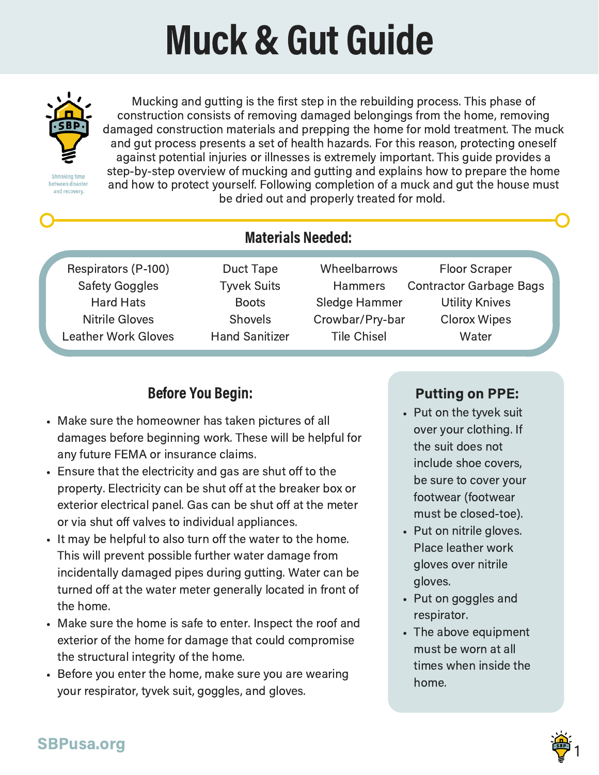# Muck & Gut Guide



etween disaste and recovery.

Mucking and gutting is the first step in the rebuilding process. This phase of construction consists of removing damaged belongings from the home, removing damaged construction materials and prepping the home for mold treatment. The muck and gut process presents a set of health hazards. For this reason, protecting oneself against potential injuries or illnesses is extremely important. This guide provides a step-by-step overview of mucking and gutting and explains how to prepare the home and how to protect yourself. Following completion of a muck and gut the house must be dried out and properly treated for mold.

Respirators (P-100) Safety Goggles Hard Hats Nitrile Gloves Leather Work Gloves

# Materials Needed:

Duct Tape Tyvek Suits **Boots Shovels** Hand Sanitizer

Wheelbarrows **Hammers** Sledge Hammer Crowbar/Pry-bar Tile Chisel

Floor Scraper Contractor Garbage Bags Utility Knives Clorox Wipes **Water** 

# Before You Begin:

- Make sure the homeowner has taken pictures of all damages before beginning work. These will be helpful for any future FEMA or insurance claims.
- Ensure that the electricity and gas are shut off to the property. Electricity can be shut off at the breaker box or exterior electrical panel. Gas can be shut off at the meter or via shut off valves to individual appliances.
- It may be helpful to also turn off the water to the home. This will prevent possible further water damage from incidentally damaged pipes during gutting. Water can be turned off at the water meter generally located in front of the home.
- Make sure the home is safe to enter. Inspect the roof and exterior of the home for damage that could compromise the structural integrity of the home.
- Before you enter the home, make sure you are wearing your respirator, tyvek suit, goggles, and gloves.

## Putting on PPE:

- Put on the tyvek suit over your clothing. If the suit does not include shoe covers, be sure to cover your footwear (footwear must be closed-toe).
- Put on nitrile gloves. Place leather work gloves over nitrile gloves.
- Put on goggles and respirator.
- The above equipment must be worn at all times when inside the home.

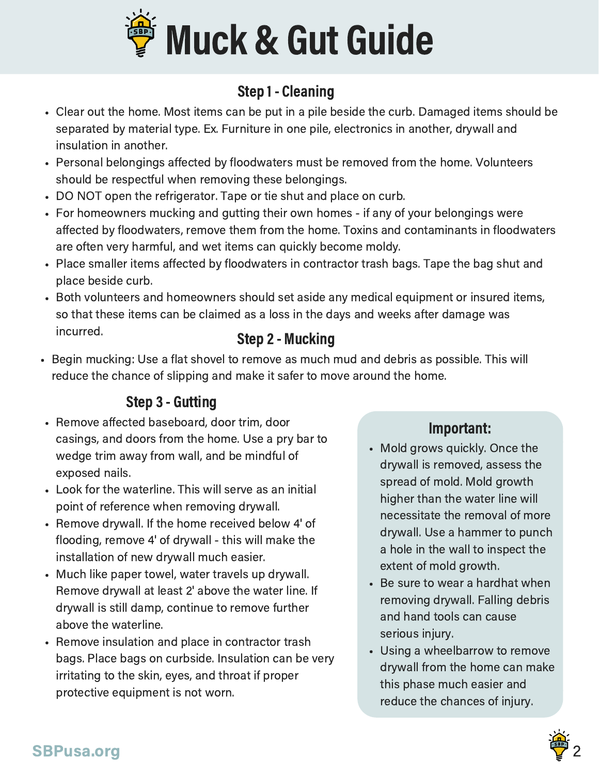

# Step 1 - Cleaning

- Clear out the home. Most items can be put in a pile beside the curb. Damaged items should be separated by material type. Ex. Furniture in one pile, electronics in another, drywall and insulation in another.
- Personal belongings affected by floodwaters must be removed from the home. Volunteers should be respectful when removing these belongings.
- DO NOT open the refrigerator. Tape or tie shut and place on curb.
- For homeowners mucking and gutting their own homes if any of your belongings were affected by floodwaters, remove them from the home. Toxins and contaminants in floodwaters are often very harmful, and wet items can quickly become moldy.
- Place smaller items affected by floodwaters in contractor trash bags. Tape the bag shut and place beside curb.
- Both volunteers and homeowners should set aside any medical equipment or insured items, so that these items can be claimed as a loss in the days and weeks after damage was incurred.

#### Step 2 - Mucking

• Begin mucking: Use a flat shovel to remove as much mud and debris as possible. This will reduce the chance of slipping and make it safer to move around the home.

# Step 3 - Gutting

- Remove affected baseboard, door trim, door casings, and doors from the home. Use a pry bar to wedge trim away from wall, and be mindful of exposed nails.
- Look for the waterline. This will serve as an initial point of reference when removing drywall.
- Remove drywall. If the home received below 4' of flooding, remove 4' of drywall - this will make the installation of new drywall much easier.
- Much like paper towel, water travels up drywall. Remove drywall at least 2' above the water line. If drywall is still damp, continue to remove further above the waterline.
- Remove insulation and place in contractor trash bags. Place bags on curbside. Insulation can be very irritating to the skin, eyes, and throat if proper protective equipment is not worn.

## Important:

- Mold grows quickly. Once the drywall is removed, assess the spread of mold. Mold growth higher than the water line will necessitate the removal of more drywall. Use a hammer to punch a hole in the wall to inspect the extent of mold growth.
- Be sure to wear a hardhat when removing drywall. Falling debris and hand tools can cause serious injury.
- Using a wheelbarrow to remove drywall from the home can make this phase much easier and reduce the chances of injury.